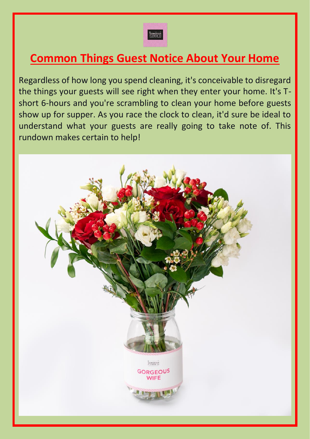

# **Common Things Guest Notice About Your Home**

Regardless of how long you spend cleaning, it's conceivable to disregard the things your guests will see right when they enter your home. It's Tshort 6-hours and you're scrambling to clean your home before guests show up for supper. As you race the clock to clean, it'd sure be ideal to understand what your guests are really going to take note of. This rundown makes certain to help!

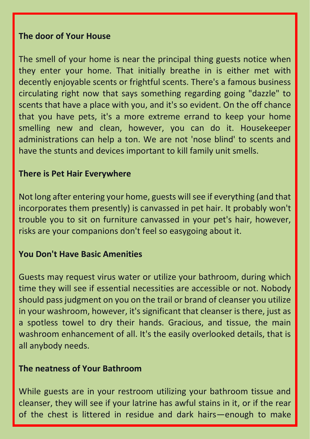#### **The door of Your House**

The smell of your home is near the principal thing guests notice when they enter your home. That initially breathe in is either met with decently enjoyable scents or frightful scents. There's a famous business circulating right now that says something regarding going "dazzle" to scents that have a place with you, and it's so evident. On the off chance that you have pets, it's a more extreme errand to keep your home smelling new and clean, however, you can do it. Housekeeper administrations can help a ton. We are not 'nose blind' to scents and have the stunts and devices important to kill family unit smells.

#### **There is Pet Hair Everywhere**

Not long after entering your home, guests will see if everything (and that incorporates them presently) is canvassed in pet hair. It probably won't trouble you to sit on furniture canvassed in your pet's hair, however, risks are your companions don't feel so easygoing about it.

## **You Don't Have Basic Amenities**

Guests may request virus water or utilize your bathroom, during which time they will see if essential necessities are accessible or not. Nobody should pass judgment on you on the trail or brand of cleanser you utilize in your washroom, however, it's significant that cleanser is there, just as a spotless towel to dry their hands. Gracious, and tissue, the main washroom enhancement of all. It's the easily overlooked details, that is all anybody needs.

#### **The neatness of Your Bathroom**

While guests are in your restroom utilizing your bathroom tissue and cleanser, they will see if your latrine has awful stains in it, or if the rear of the chest is littered in residue and dark hairs—enough to make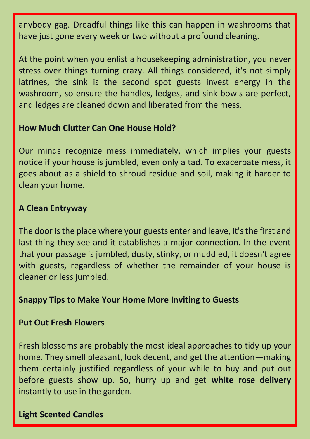anybody gag. Dreadful things like this can happen in washrooms that have just gone every week or two without a profound cleaning.

At the point when you enlist a housekeeping administration, you never stress over things turning crazy. All things considered, it's not simply latrines, the sink is the second spot guests invest energy in the washroom, so ensure the handles, ledges, and sink bowls are perfect, and ledges are cleaned down and liberated from the mess.

## **How Much Clutter Can One House Hold?**

Our minds recognize mess immediately, which implies your guests notice if your house is jumbled, even only a tad. To exacerbate mess, it goes about as a shield to shroud residue and soil, making it harder to clean your home.

## **A Clean Entryway**

The door is the place where your guests enter and leave, it's the first and last thing they see and it establishes a major connection. In the event that your passage is jumbled, dusty, stinky, or muddled, it doesn't agree with guests, regardless of whether the remainder of your house is cleaner or less jumbled.

## **Snappy Tips to Make Your Home More Inviting to Guests**

## **Put Out Fresh Flowers**

Fresh blossoms are probably the most ideal approaches to tidy up your home. They smell pleasant, look decent, and get the attention—making them certainly justified regardless of your while to buy and put out before guests show up. So, hurry up and get **white rose delivery** instantly to use in the garden.

# **Light Scented Candles**